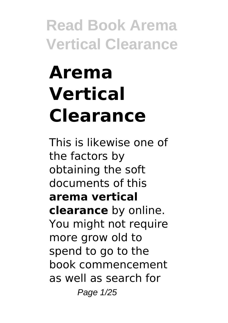# **Arema Vertical Clearance**

This is likewise one of the factors by obtaining the soft documents of this **arema vertical clearance** by online. You might not require more grow old to spend to go to the book commencement as well as search for Page 1/25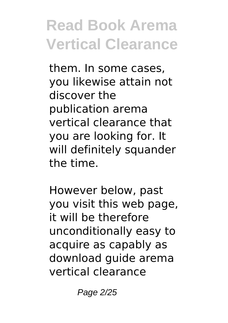them. In some cases, you likewise attain not discover the publication arema vertical clearance that you are looking for. It will definitely squander the time.

However below, past you visit this web page, it will be therefore unconditionally easy to acquire as capably as download guide arema vertical clearance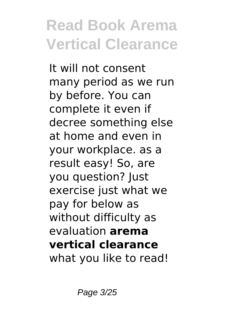It will not consent many period as we run by before. You can complete it even if decree something else at home and even in your workplace. as a result easy! So, are you question? Just exercise just what we pay for below as without difficulty as evaluation **arema vertical clearance** what you like to read!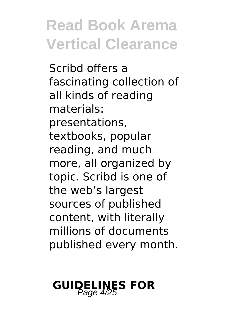Scribd offers a fascinating collection of all kinds of reading materials: presentations, textbooks, popular reading, and much more, all organized by topic. Scribd is one of the web's largest sources of published content, with literally millions of documents published every month.

# **GUIDELINES FOR**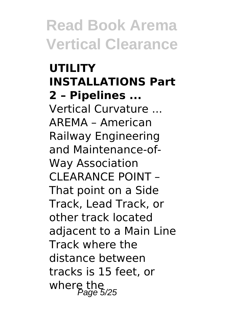#### **UTILITY INSTALLATIONS Part 2 – Pipelines ...** Vertical Curvature ... AREMA – American Railway Engineering and Maintenance-of-Way Association CLEARANCE POINT – That point on a Side Track, Lead Track, or other track located adjacent to a Main Line Track where the distance between tracks is 15 feet, or where the<br>Page 5/25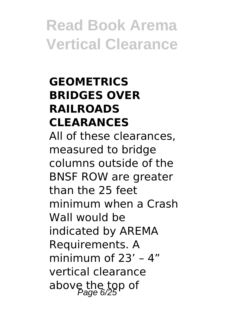#### **GEOMETRICS BRIDGES OVER RAILROADS CLEARANCES**

All of these clearances, measured to bridge columns outside of the BNSF ROW are greater than the 25 feet minimum when a Crash Wall would be indicated by AREMA Requirements. A minimum of 23' – 4" vertical clearance above the top of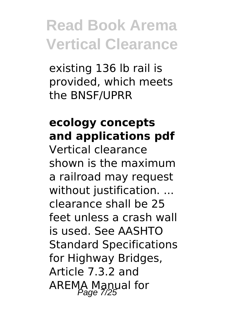existing 136 lb rail is provided, which meets the BNSF/UPRR

#### **ecology concepts and applications pdf**

Vertical clearance shown is the maximum a railroad may request without justification. ... clearance shall be 25 feet unless a crash wall is used. See AASHTO Standard Specifications for Highway Bridges, Article 7.3.2 and AREMA Manual for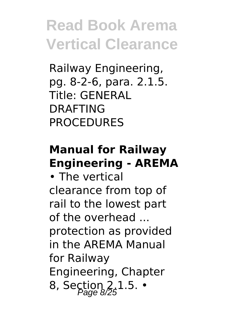Railway Engineering, pg. 8-2-6, para. 2.1.5. Title: GENERAL DRAFTING **PROCEDURES** 

#### **Manual for Railway Engineering - AREMA**

• The vertical clearance from top of rail to the lowest part of the overhead ... protection as provided in the AREMA Manual for Railway Engineering, Chapter 8, Section  $2.1.5.$  •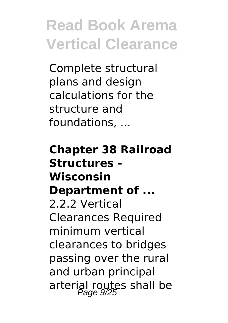Complete structural plans and design calculations for the structure and foundations, ...

**Chapter 38 Railroad Structures - Wisconsin Department of ...** 2.2.2 Vertical Clearances Required minimum vertical clearances to bridges passing over the rural and urban principal arterial routes shall be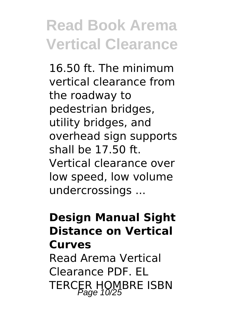16.50 ft. The minimum vertical clearance from the roadway to pedestrian bridges, utility bridges, and overhead sign supports shall be 17.50 ft. Vertical clearance over low speed, low volume undercrossings ...

#### **Design Manual Sight Distance on Vertical Curves**

Read Arema Vertical Clearance PDF. EL TERCER HOMBRE ISBN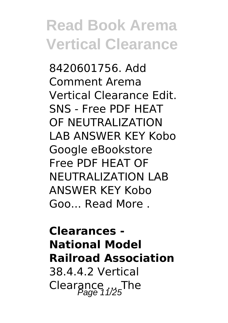8420601756. Add Comment Arema Vertical Clearance Edit. SNS - Free PDF HEAT OF NEUTRALIZATION LAB ANSWER KEY Kobo Google eBookstore Free PDF HEAT OF NEUTRALIZATION LAB ANSWER KEY Kobo Goo... Read More

**Clearances - National Model Railroad Association** 38.4.4.2 Vertical Clearance  $_{1/25}$ The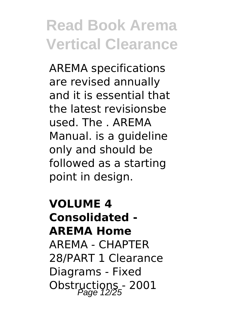AREMA specifications are revised annually and it is essential that the latest revisionsbe used. The . AREMA Manual. is a guideline only and should be followed as a starting point in design.

**VOLUME 4 Consolidated - AREMA Home** AREMA - CHAPTER 28/PART 1 Clearance Diagrams - Fixed Obstructions - 2001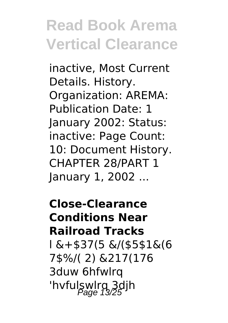inactive, Most Current Details. History. Organization: AREMA: Publication Date: 1 January 2002: Status: inactive: Page Count: 10: Document History. CHAPTER 28/PART 1 January 1, 2002 ...

**Close-Clearance Conditions Near Railroad Tracks** l &+\$37(5 &/(\$5\$1&(6 7\$%/( 2) &217(176 3duw 6hfwlrq 'hvfulswlrg 3djh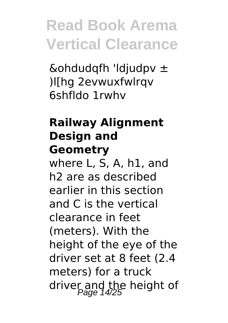&ohdudqfh 'ldjudpv  $\pm$ )l[hg 2evwuxfwlrqv 6shfldo 1rwhv

#### **Railway Alignment Design and Geometry**

where L, S, A, h1, and h2 are as described earlier in this section and C is the vertical clearance in feet (meters). With the height of the eye of the driver set at 8 feet (2.4 meters) for a truck driver and the height of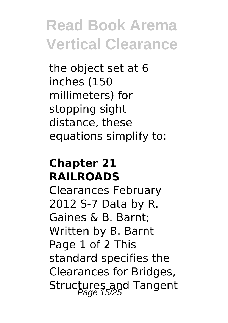the object set at 6 inches (150 millimeters) for stopping sight distance, these equations simplify to:

#### **Chapter 21 RAILROADS**

Clearances February 2012 S-7 Data by R. Gaines & B. Barnt; Written by B. Barnt Page 1 of 2 This standard specifies the Clearances for Bridges, Structures and Tangent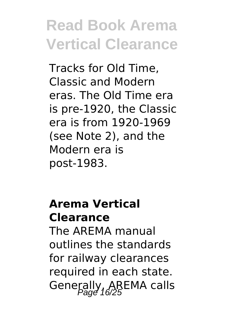Tracks for Old Time, Classic and Modern eras. The Old Time era is pre-1920, the Classic era is from 1920-1969 (see Note 2), and the Modern era is post-1983.

#### **Arema Vertical Clearance**

The AREMA manual outlines the standards for railway clearances required in each state. Generally, AREMA calls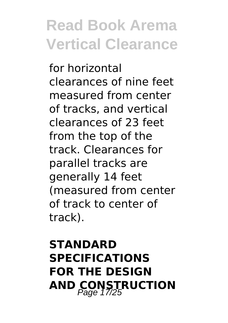for horizontal clearances of nine feet measured from center of tracks, and vertical clearances of 23 feet from the top of the track. Clearances for parallel tracks are generally 14 feet (measured from center of track to center of track).

#### **STANDARD SPECIFICATIONS FOR THE DESIGN AND CONSTRUCTION**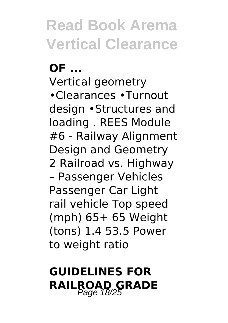#### **OF ...**

Vertical geometry •Clearances •Turnout design •Structures and loading . REES Module #6 - Railway Alignment Design and Geometry 2 Railroad vs. Highway – Passenger Vehicles Passenger Car Light rail vehicle Top speed (mph) 65+ 65 Weight (tons) 1.4 53.5 Power to weight ratio

#### **GUIDELINES FOR RAILROAD GRADE** Page 18/25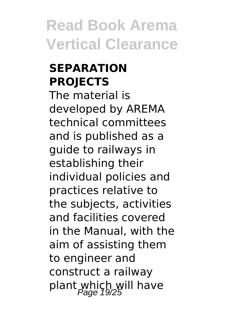#### **SEPARATION PROJECTS**

The material is developed by AREMA technical committees and is published as a guide to railways in establishing their individual policies and practices relative to the subjects, activities and facilities covered in the Manual, with the aim of assisting them to engineer and construct a railway plant which will have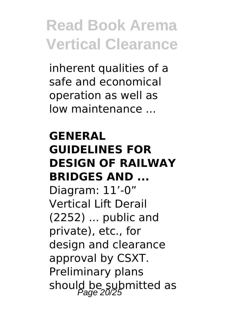inherent qualities of a safe and economical operation as well as low maintenance ...

#### **GENERAL GUIDELINES FOR DESIGN OF RAILWAY BRIDGES AND ...** Diagram: 11'-0" Vertical Lift Derail (2252) ... public and private), etc., for design and clearance approval by CSXT. Preliminary plans

should be submitted as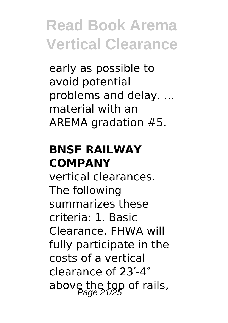early as possible to avoid potential problems and delay. ... material with an AREMA gradation #5.

#### **BNSF RAILWAY COMPANY**

vertical clearances. The following summarizes these criteria: 1. Basic Clearance. FHWA will fully participate in the costs of a vertical clearance of 23′-4″ above the top of rails,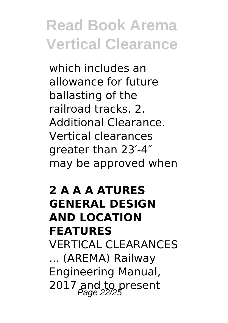which includes an allowance for future ballasting of the railroad tracks. 2. Additional Clearance. Vertical clearances greater than 23′-4″ may be approved when

#### **2 A A A ATURES GENERAL DESIGN AND LOCATION FEATURES** VERTICAL CLEARANCES ... (AREMA) Railway Engineering Manual, 2017 and to present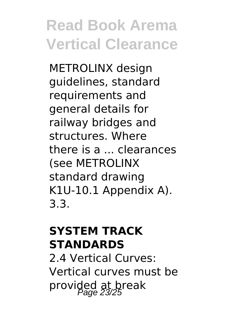METROLINX design guidelines, standard requirements and general details for railway bridges and structures. Where there is a ... clearances (see METROLINX standard drawing K1U-10.1 Appendix A). 3.3.

#### **SYSTEM TRACK STANDARDS**

2.4 Vertical Curves: Vertical curves must be provided at break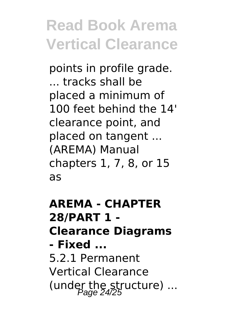points in profile grade. ... tracks shall be placed a minimum of 100 feet behind the 14' clearance point, and placed on tangent ... (AREMA) Manual chapters 1, 7, 8, or 15 as

**AREMA - CHAPTER 28/PART 1 - Clearance Diagrams - Fixed ...** 5.2.1 Permanent Vertical Clearance (under the structure)  $...$